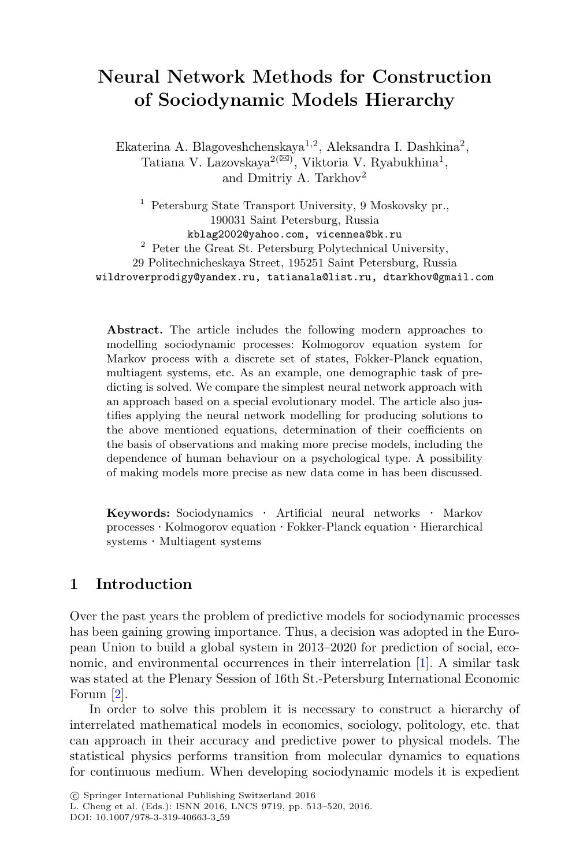# **Neural Network Methods for Construction of Sociodynamic Models Hierarchy**

Ekaterina A. Blagoveshchenskaya<sup>1,2</sup>, Aleksandra I. Dashkina<sup>2</sup>, Tatiana V. Lazovskaya<sup>2( $\boxtimes$ )</sup>, Viktoria V. Ryabukhina<sup>1</sup>, and Dmitriy A. Tarkhov<sup>2</sup>

<sup>1</sup> Petersburg State Transport University, 9 Moskovsky pr., 190031 Saint Petersburg, Russia kblag2002@yahoo.com, vicennea@bk.ru <sup>2</sup> Peter the Great St. Petersburg Polytechnical University, 29 Politechnicheskaya Street, 195251 Saint Petersburg, Russia wildroverprodigy@yandex.ru, tatianala@list.ru, dtarkhov@gmail.com

Abstract. The article includes the following modern approaches to modelling sociodynamic processes: Kolmogorov equation system for Markov process with a discrete set of states, Fokker-Planck equation, multiagent systems, etc. As an example, one demographic task of predicting is solved. We compare the simplest neural network approach with an approach based on a special evolutionary model. The article also justifies applying the neural network modelling for producing solutions to the above mentioned equations, determination of their coefficients on the basis of observations and making more precise models, including the dependence of human behaviour on a psychological type. A possibility of making models more precise as new data come in has been discussed.

**Keywords:** Sociodynamics *·* Artificial neural networks *·* Markov processes *·* Kolmogorov equation *·* Fokker-Planck equation *·* Hierarchical systems *·* Multiagent systems

### **1 Introduction**

Over the past years the problem of predictive models for sociodynamic processes has been gaining growing importance. Thus, a decision was adopted in the European Union to build a global system in 2013–2020 for prediction of social, economic, and environmental occurrences in their interrelation [\[1](#page-7-0)]. A similar task was stated at the Plenary Session of 16th St.-Petersburg International Economic Forum [\[2](#page-7-1)].

In order to solve this problem it is necessary to construct a hierarchy of interrelated mathematical models in economics, sociology, politology, etc. that can approach in their accuracy and predictive power to physical models. The statistical physics performs transition from molecular dynamics to equations for continuous medium. When developing sociodynamic models it is expedient

DOI: 10.1007/978-3-319-40663-3 59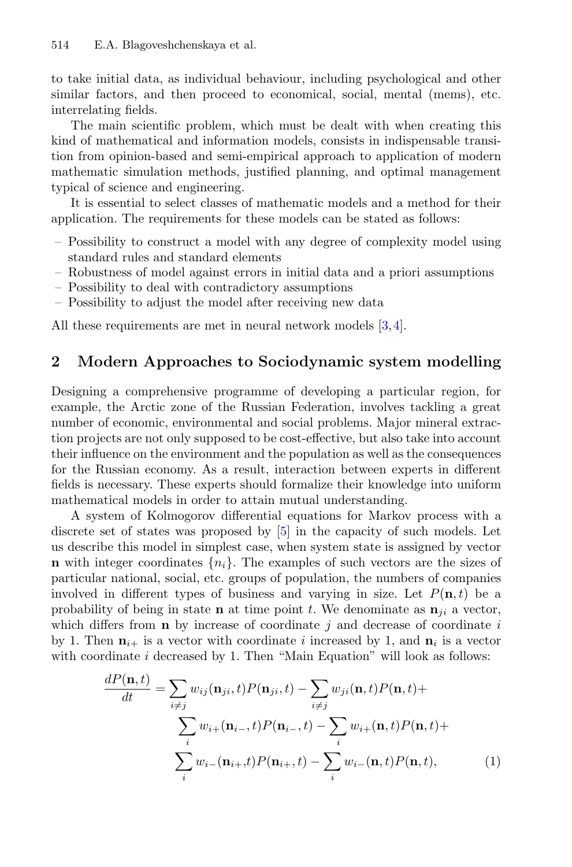to take initial data, as individual behaviour, including psychological and other similar factors, and then proceed to economical, social, mental (mems), etc. interrelating fields.

The main scientific problem, which must be dealt with when creating this kind of mathematical and information models, consists in indispensable transition from opinion-based and semi-empirical approach to application of modern mathematic simulation methods, justified planning, and optimal management typical of science and engineering.

It is essential to select classes of mathematic models and a method for their application. The requirements for these models can be stated as follows:

- Possibility to construct a model with any degree of complexity model using standard rules and standard elements
- Robustness of model against errors in initial data and a priori assumptions
- Possibility to deal with contradictory assumptions
- Possibility to adjust the model after receiving new data

All these requirements are met in neural network models [\[3](#page-7-2)[,4](#page-7-3)].

#### **2 Modern Approaches to Sociodynamic system modelling**

Designing a comprehensive programme of developing a particular region, for example, the Arctic zone of the Russian Federation, involves tackling a great number of economic, environmental and social problems. Major mineral extraction projects are not only supposed to be cost-effective, but also take into account their influence on the environment and the population as well as the consequences for the Russian economy. As a result, interaction between experts in different fields is necessary. These experts should formalize their knowledge into uniform mathematical models in order to attain mutual understanding.

A system of Kolmogorov differential equations for Markov process with a discrete set of states was proposed by [\[5](#page-7-4)] in the capacity of such models. Let us describe this model in simplest case, when system state is assigned by vector **n** with integer coordinates  $\{n_i\}$ . The examples of such vectors are the sizes of particular national, social, etc. groups of population, the numbers of companies involved in different types of business and varying in size. Let  $P(n, t)$  be a probability of being in state **n** at time point t. We denominate as  $\mathbf{n}_{ii}$  a vector, which differs from  $\bf{n}$  by increase of coordinate j and decrease of coordinate i by 1. Then  $\mathbf{n}_{i+}$  is a vector with coordinate i increased by 1, and  $\mathbf{n}_i$  is a vector with coordinate  $i$  decreased by 1. Then "Main Equation" will look as follows:

<span id="page-1-0"></span>
$$
\frac{dP(\mathbf{n},t)}{dt} = \sum_{i \neq j} w_{ij}(\mathbf{n}_{ji},t)P(\mathbf{n}_{ji},t) - \sum_{i \neq j} w_{ji}(\mathbf{n},t)P(\mathbf{n},t) + \sum_{i} w_{i+}(\mathbf{n}_{i-},t)P(\mathbf{n}_{i-},t) - \sum_{i} w_{i+}(\mathbf{n},t)P(\mathbf{n},t) + \sum_{i} w_{i-}(\mathbf{n}_{i+},t)P(\mathbf{n}_{i+},t) - \sum_{i} w_{i-}(\mathbf{n},t)P(\mathbf{n},t),
$$
\n(1)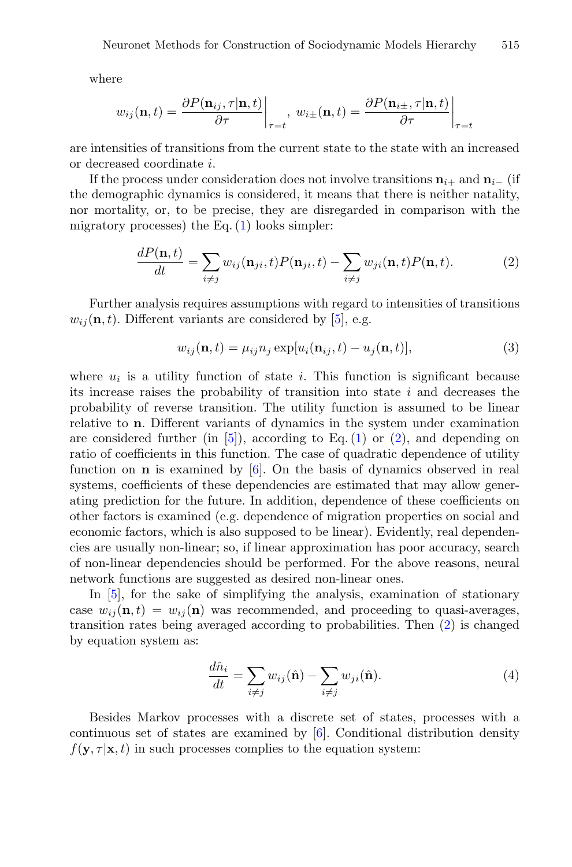where

$$
w_{ij}(\mathbf{n},t) = \frac{\partial P(\mathbf{n}_{ij},\tau|\mathbf{n},t)}{\partial \tau}\bigg|_{\tau=t}, \ w_{i\pm}(\mathbf{n},t) = \frac{\partial P(\mathbf{n}_{i\pm},\tau|\mathbf{n},t)}{\partial \tau}\bigg|_{\tau=t}
$$

are intensities of transitions from the current state to the state with an increased or decreased coordinate i.

If the process under consideration does not involve transitions  $\mathbf{n}_{i+}$  and  $\mathbf{n}_{i-}$  (if the demographic dynamics is considered, it means that there is neither natality, nor mortality, or, to be precise, they are disregarded in comparison with the migratory processes) the Eq.  $(1)$  looks simpler:

$$
\frac{dP(\mathbf{n},t)}{dt} = \sum_{i \neq j} w_{ij}(\mathbf{n}_{ji},t)P(\mathbf{n}_{ji},t) - \sum_{i \neq j} w_{ji}(\mathbf{n},t)P(\mathbf{n},t). \tag{2}
$$

<span id="page-2-0"></span>Further analysis requires assumptions with regard to intensities of transitions  $w_{ij}(\mathbf{n}, t)$ . Different variants are considered by [\[5](#page-7-4)], e.g.

$$
w_{ij}(\mathbf{n},t) = \mu_{ij} n_j \exp[u_i(\mathbf{n}_{ij},t) - u_j(\mathbf{n},t)], \qquad (3)
$$

where  $u_i$  is a utility function of state i. This function is significant because its increase raises the probability of transition into state  $i$  and decreases the probability of reverse transition. The utility function is assumed to be linear relative to **n**. Different variants of dynamics in the system under examination are considered further (in  $[5]$ ), according to Eq. [\(1\)](#page-1-0) or [\(2\)](#page-2-0), and depending on ratio of coefficients in this function. The case of quadratic dependence of utility function on **n** is examined by [\[6](#page-7-5)]. On the basis of dynamics observed in real systems, coefficients of these dependencies are estimated that may allow generating prediction for the future. In addition, dependence of these coefficients on other factors is examined (e.g. dependence of migration properties on social and economic factors, which is also supposed to be linear). Evidently, real dependencies are usually non-linear; so, if linear approximation has poor accuracy, search of non-linear dependencies should be performed. For the above reasons, neural network functions are suggested as desired non-linear ones.

In [\[5](#page-7-4)], for the sake of simplifying the analysis, examination of stationary case  $w_{ij}(\mathbf{n}, t) = w_{ij}(\mathbf{n})$  was recommended, and proceeding to quasi-averages, transition rates being averaged according to probabilities. Then [\(2\)](#page-2-0) is changed by equation system as:

$$
\frac{d\hat{n}_i}{dt} = \sum_{i \neq j} w_{ij}(\hat{\mathbf{n}}) - \sum_{i \neq j} w_{ji}(\hat{\mathbf{n}}).
$$
\n(4)

Besides Markov processes with a discrete set of states, processes with a continuous set of states are examined by [\[6](#page-7-5)]. Conditional distribution density  $f(\mathbf{y}, \tau | \mathbf{x}, t)$  in such processes complies to the equation system: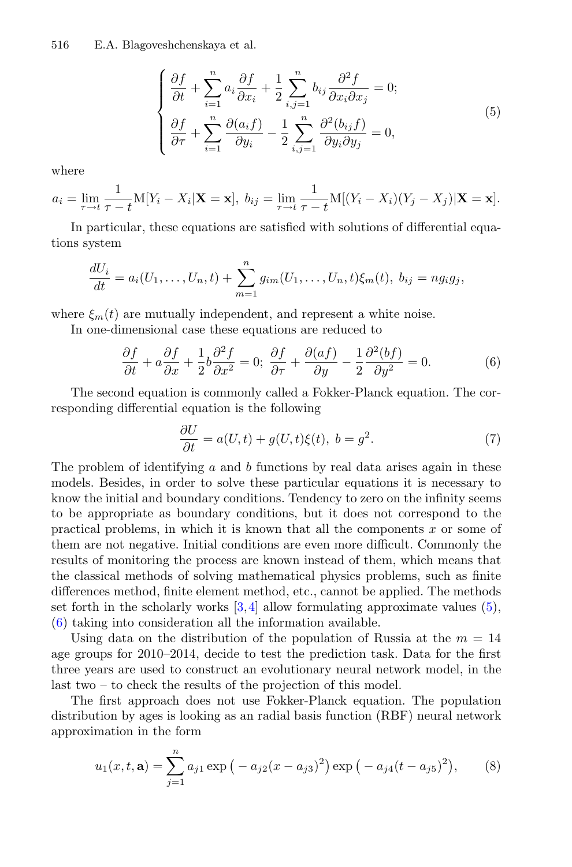<span id="page-3-0"></span>516 E.A. Blagoveshchenskaya et al.

$$
\begin{cases}\n\frac{\partial f}{\partial t} + \sum_{i=1}^{n} a_i \frac{\partial f}{\partial x_i} + \frac{1}{2} \sum_{i,j=1}^{n} b_{ij} \frac{\partial^2 f}{\partial x_i \partial x_j} = 0; \\
\frac{\partial f}{\partial \tau} + \sum_{i=1}^{n} \frac{\partial (a_i f)}{\partial y_i} - \frac{1}{2} \sum_{i,j=1}^{n} \frac{\partial^2 (b_{ij} f)}{\partial y_i \partial y_j} = 0,\n\end{cases}
$$
\n(5)

where

$$
a_i = \lim_{\tau \to t} \frac{1}{\tau - t} \mathbf{M}[Y_i - X_i | \mathbf{X} = \mathbf{x}], \ b_{ij} = \lim_{\tau \to t} \frac{1}{\tau - t} \mathbf{M}[(Y_i - X_i)(Y_j - X_j) | \mathbf{X} = \mathbf{x}].
$$

In particular, these equations are satisfied with solutions of differential equations system

$$
\frac{dU_i}{dt} = a_i(U_1, ..., U_n, t) + \sum_{m=1}^n g_{im}(U_1, ..., U_n, t)\xi_m(t), \ b_{ij} = ng_ig_j,
$$

<span id="page-3-1"></span>where  $\xi_m(t)$  are mutually independent, and represent a white noise.

In one-dimensional case these equations are reduced to

$$
\frac{\partial f}{\partial t} + a\frac{\partial f}{\partial x} + \frac{1}{2}b\frac{\partial^2 f}{\partial x^2} = 0; \ \frac{\partial f}{\partial \tau} + \frac{\partial (af)}{\partial y} - \frac{1}{2}\frac{\partial^2 (bf)}{\partial y^2} = 0.
$$
 (6)

The second equation is commonly called a Fokker-Planck equation. The corresponding differential equation is the following

$$
\frac{\partial U}{\partial t} = a(U, t) + g(U, t)\xi(t), \ b = g^2.
$$
\n(7)

The problem of identifying  $a$  and  $b$  functions by real data arises again in these models. Besides, in order to solve these particular equations it is necessary to know the initial and boundary conditions. Tendency to zero on the infinity seems to be appropriate as boundary conditions, but it does not correspond to the practical problems, in which it is known that all the components  $x$  or some of them are not negative. Initial conditions are even more difficult. Commonly the results of monitoring the process are known instead of them, which means that the classical methods of solving mathematical physics problems, such as finite differences method, finite element method, etc., cannot be applied. The methods set forth in the scholarly works  $[3,4]$  $[3,4]$  $[3,4]$  allow formulating approximate values  $(5)$ , [\(6\)](#page-3-1) taking into consideration all the information available.

Using data on the distribution of the population of Russia at the  $m = 14$ age groups for 2010–2014, decide to test the prediction task. Data for the first three years are used to construct an evolutionary neural network model, in the last two – to check the results of the projection of this model.

The first approach does not use Fokker-Planck equation. The population distribution by ages is looking as an radial basis function (RBF) neural network approximation in the form

$$
u_1(x, t, \mathbf{a}) = \sum_{j=1}^n a_{j1} \exp\left(-a_{j2}(x - a_{j3})^2\right) \exp\left(-a_{j4}(t - a_{j5})^2\right),\qquad(8)
$$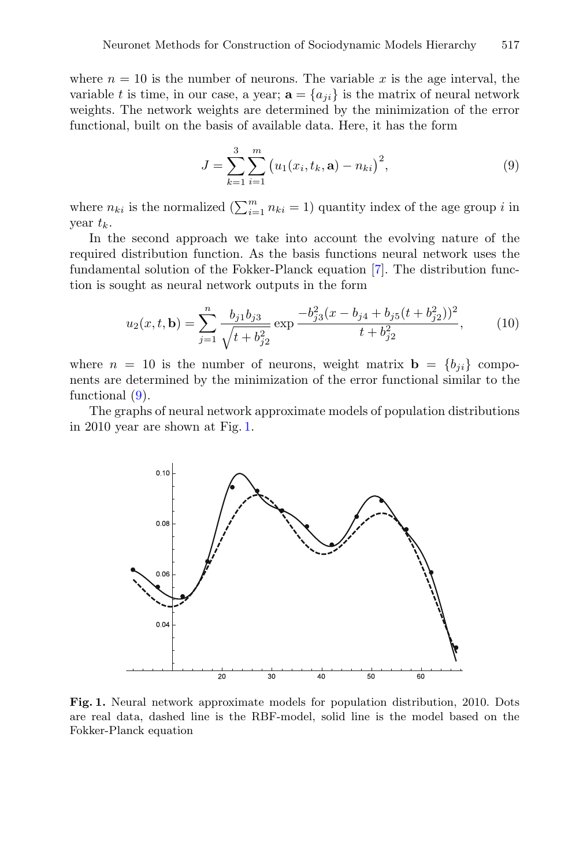where  $n = 10$  is the number of neurons. The variable x is the age interval, the variable t is time, in our case, a year;  $\mathbf{a} = \{a_{ji}\}\$ is the matrix of neural network weights. The network weights are determined by the minimization of the error functional, built on the basis of available data. Here, it has the form

$$
J = \sum_{k=1}^{3} \sum_{i=1}^{m} (u_1(x_i, t_k, \mathbf{a}) - n_{ki})^2,
$$
\n(9)

<span id="page-4-0"></span>where  $n_{ki}$  is the normalized  $\left(\sum_{i=1}^m n_{ki} = 1\right)$  quantity index of the age group i in year  $t_k$ .

In the second approach we take into account the evolving nature of the required distribution function. As the basis functions neural network uses the fundamental solution of the Fokker-Planck equation [\[7\]](#page-7-6). The distribution function is sought as neural network outputs in the form

$$
u_2(x, t, \mathbf{b}) = \sum_{j=1}^n \frac{b_{j1}b_{j3}}{\sqrt{t + b_{j2}^2}} \exp \frac{-b_{j3}^2(x - b_{j4} + b_{j5}(t + b_{j2}^2))^2}{t + b_{j2}^2},
$$
(10)

where  $n = 10$  is the number of neurons, weight matrix  $\mathbf{b} = \{b_{ii}\}\$ components are determined by the minimization of the error functional similar to the functional [\(9\)](#page-4-0).

The graphs of neural network approximate models of population distributions in 2010 year are shown at Fig. [1.](#page-4-1)



<span id="page-4-1"></span>**Fig. 1.** Neural network approximate models for population distribution, 2010. Dots are real data, dashed line is the RBF-model, solid line is the model based on the Fokker-Planck equation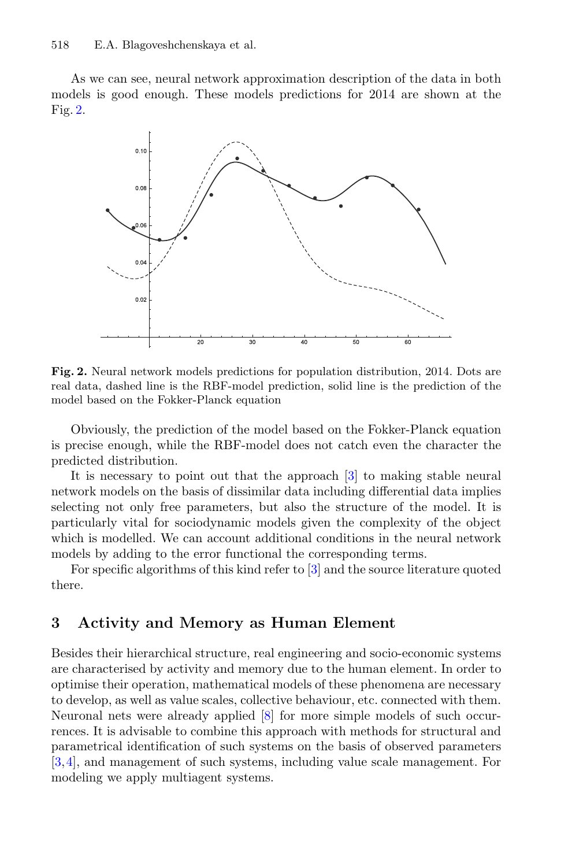As we can see, neural network approximation description of the data in both models is good enough. These models predictions for 2014 are shown at the Fig. [2.](#page-5-0)



<span id="page-5-0"></span>**Fig. 2.** Neural network models predictions for population distribution, 2014. Dots are real data, dashed line is the RBF-model prediction, solid line is the prediction of the model based on the Fokker-Planck equation

Obviously, the prediction of the model based on the Fokker-Planck equation is precise enough, while the RBF-model does not catch even the character the predicted distribution.

It is necessary to point out that the approach [\[3](#page-7-2)] to making stable neural network models on the basis of dissimilar data including differential data implies selecting not only free parameters, but also the structure of the model. It is particularly vital for sociodynamic models given the complexity of the object which is modelled. We can account additional conditions in the neural network models by adding to the error functional the corresponding terms.

For specific algorithms of this kind refer to [\[3\]](#page-7-2) and the source literature quoted there.

#### **3 Activity and Memory as Human Element**

Besides their hierarchical structure, real engineering and socio-economic systems are characterised by activity and memory due to the human element. In order to optimise their operation, mathematical models of these phenomena are necessary to develop, as well as value scales, collective behaviour, etc. connected with them. Neuronal nets were already applied [\[8](#page-7-7)] for more simple models of such occurrences. It is advisable to combine this approach with methods for structural and parametrical identification of such systems on the basis of observed parameters [\[3](#page-7-2),[4\]](#page-7-3), and management of such systems, including value scale management. For modeling we apply multiagent systems.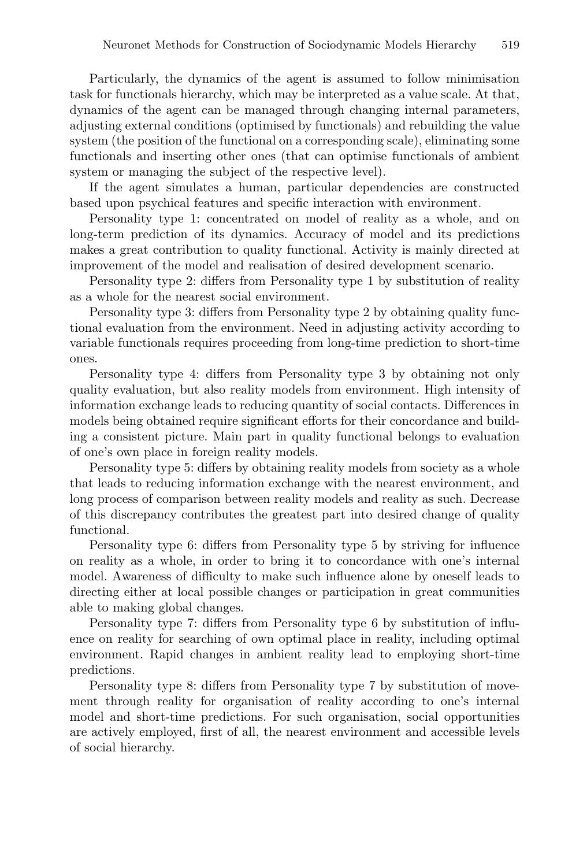Particularly, the dynamics of the agent is assumed to follow minimisation task for functionals hierarchy, which may be interpreted as a value scale. At that, dynamics of the agent can be managed through changing internal parameters, adjusting external conditions (optimised by functionals) and rebuilding the value system (the position of the functional on a corresponding scale), eliminating some functionals and inserting other ones (that can optimise functionals of ambient system or managing the subject of the respective level).

If the agent simulates a human, particular dependencies are constructed based upon psychical features and specific interaction with environment.

Personality type 1: concentrated on model of reality as a whole, and on long-term prediction of its dynamics. Accuracy of model and its predictions makes a great contribution to quality functional. Activity is mainly directed at improvement of the model and realisation of desired development scenario.

Personality type 2: differs from Personality type 1 by substitution of reality as a whole for the nearest social environment.

Personality type 3: differs from Personality type 2 by obtaining quality functional evaluation from the environment. Need in adjusting activity according to variable functionals requires proceeding from long-time prediction to short-time ones.

Personality type 4: differs from Personality type 3 by obtaining not only quality evaluation, but also reality models from environment. High intensity of information exchange leads to reducing quantity of social contacts. Differences in models being obtained require significant efforts for their concordance and building a consistent picture. Main part in quality functional belongs to evaluation of one's own place in foreign reality models.

Personality type 5: differs by obtaining reality models from society as a whole that leads to reducing information exchange with the nearest environment, and long process of comparison between reality models and reality as such. Decrease of this discrepancy contributes the greatest part into desired change of quality functional.

Personality type 6: differs from Personality type 5 by striving for influence on reality as a whole, in order to bring it to concordance with one's internal model. Awareness of difficulty to make such influence alone by oneself leads to directing either at local possible changes or participation in great communities able to making global changes.

Personality type 7: differs from Personality type 6 by substitution of influence on reality for searching of own optimal place in reality, including optimal environment. Rapid changes in ambient reality lead to employing short-time predictions.

Personality type 8: differs from Personality type 7 by substitution of movement through reality for organisation of reality according to one's internal model and short-time predictions. For such organisation, social opportunities are actively employed, first of all, the nearest environment and accessible levels of social hierarchy.